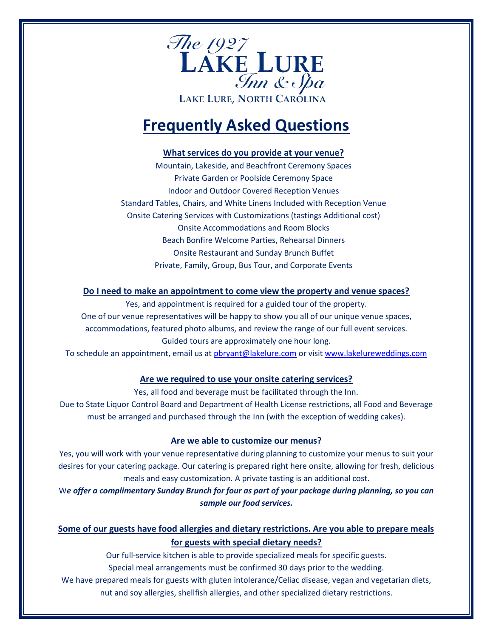

# **Frequently Asked Questions**

## **What services do you provide at your venue?**

Mountain, Lakeside, and Beachfront Ceremony Spaces Private Garden or Poolside Ceremony Space Indoor and Outdoor Covered Reception Venues Standard Tables, Chairs, and White Linens Included with Reception Venue Onsite Catering Services with Customizations (tastings Additional cost) Onsite Accommodations and Room Blocks Beach Bonfire Welcome Parties, Rehearsal Dinners Onsite Restaurant and Sunday Brunch Buffet Private, Family, Group, Bus Tour, and Corporate Events

## **Do I need to make an appointment to come view the property and venue spaces?**

Yes, and appointment is required for a guided tour of the property. One of our venue representatives will be happy to show you all of our unique venue spaces, accommodations, featured photo albums, and review the range of our full event services. Guided tours are approximately one hour long.

To schedule an appointment, email us at [pbryant@lakelure.com](mailto:pbryant@lakelure.com) or visi[t www.lakelureweddings.com](http://www.lakelureweddings.com/)

# **Are we required to use your onsite catering services?**

Yes, all food and beverage must be facilitated through the Inn.

Due to State Liquor Control Board and Department of Health License restrictions, all Food and Beverage must be arranged and purchased through the Inn (with the exception of wedding cakes).

# **Are we able to customize our menus?**

Yes, you will work with your venue representative during planning to customize your menus to suit your desires for your catering package. Our catering is prepared right here onsite, allowing for fresh, delicious meals and easy customization. A private tasting is an additional cost.

W*e offer a complimentary Sunday Brunch for four as part of your package during planning, so you can sample our food services.* 

# **Some of our guests have food allergies and dietary restrictions. Are you able to prepare meals for guests with special dietary needs?**

Our full-service kitchen is able to provide specialized meals for specific guests.

Special meal arrangements must be confirmed 30 days prior to the wedding.

We have prepared meals for guests with gluten intolerance/Celiac disease, vegan and vegetarian diets, nut and soy allergies, shellfish allergies, and other specialized dietary restrictions.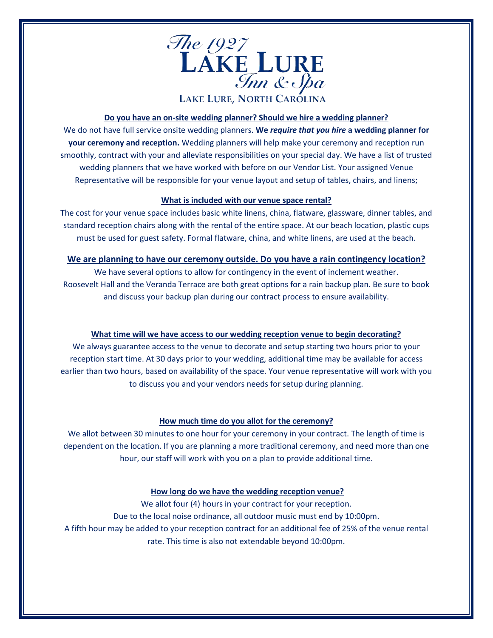

#### **Do you have an on-site wedding planner? Should we hire a wedding planner?**

We do not have full service onsite wedding planners. **We** *require that you hire* **a wedding planner for your ceremony and reception.** Wedding planners will help make your ceremony and reception run smoothly, contract with your and alleviate responsibilities on your special day. We have a list of trusted wedding planners that we have worked with before on our Vendor List. Your assigned Venue Representative will be responsible for your venue layout and setup of tables, chairs, and linens;

#### **What is included with our venue space rental?**

The cost for your venue space includes basic white linens, china, flatware, glassware, dinner tables, and standard reception chairs along with the rental of the entire space. At our beach location, plastic cups must be used for guest safety. Formal flatware, china, and white linens, are used at the beach.

#### **We are planning to have our ceremony outside. Do you have a rain contingency location?**

We have several options to allow for contingency in the event of inclement weather. Roosevelt Hall and the Veranda Terrace are both great options for a rain backup plan. Be sure to book and discuss your backup plan during our contract process to ensure availability.

#### **What time will we have access to our wedding reception venue to begin decorating?**

We always guarantee access to the venue to decorate and setup starting two hours prior to your reception start time. At 30 days prior to your wedding, additional time may be available for access earlier than two hours, based on availability of the space. Your venue representative will work with you to discuss you and your vendors needs for setup during planning.

#### **How much time do you allot for the ceremony?**

We allot between 30 minutes to one hour for your ceremony in your contract. The length of time is dependent on the location. If you are planning a more traditional ceremony, and need more than one hour, our staff will work with you on a plan to provide additional time.

#### **How long do we have the wedding reception venue?**

We allot four (4) hours in your contract for your reception. Due to the local noise ordinance, all outdoor music must end by 10:00pm. A fifth hour may be added to your reception contract for an additional fee of 25% of the venue rental rate. This time is also not extendable beyond 10:00pm.